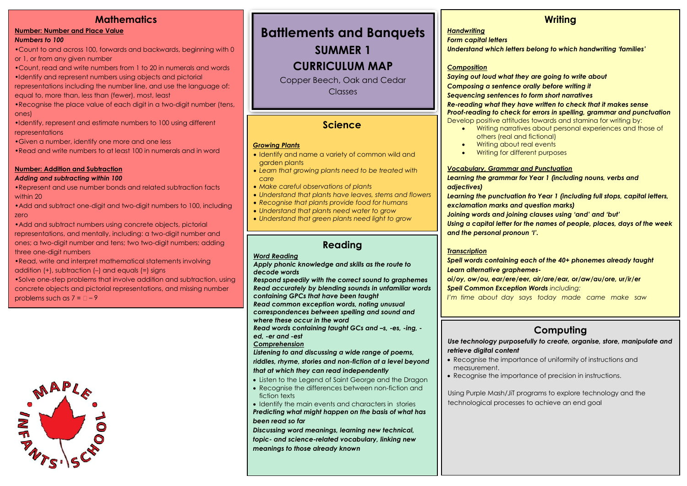### **Mathematics**

#### **Number: Number and Place Value** *Numbers to 100*

•Count to and across 100, forwards and backwards, beginning with 0 or 1, or from any given number

- •Count, read and write numbers from 1 to 20 in numerals and words
- •Identify and represent numbers using objects and pictorial

representations including the number line, and use the language of: equal to, more than, less than (fewer), most, least

•Recognise the place value of each digit in a two-digit number (tens, ones)

•Identify, represent and estimate numbers to 100 using different representations

•Given a number, identify one more and one less

•Read and write numbers to at least 100 in numerals and in word

#### **Number: Addition and Subtraction**

#### *Adding and subtracting within 100*

•Represent and use number bonds and related subtraction facts within 20

•Add and subtract one-digit and two-digit numbers to 100, including zero

•Add and subtract numbers using concrete objects, pictorial representations, and mentally, including: a two-digit number and ones; a two-digit number and tens; two two-digit numbers; adding three one-digit numbers

•Read, write and interpret mathematical statements involving addition (+), subtraction (–) and equals (=) signs

•Solve one-step problems that involve addition and subtraction, using concrete objects and pictorial representations, and missing number problems such as  $7 = 2 - 9$ 



## **Battlements and Banquets**

**SUMMER 1** 

### **CURRICULUM MAP**

Copper Beech, Oak and Cedar **Classes** 

### **Science**

#### *Growing Plants*

- Identify and name a variety of common wild and garden plants
- *Learn that growing plants need to be treated with care*
- *Make careful observations of plants*
- *Understand that plants have leaves, stems and flowers*
- *Recognise that plants provide food for humans*
- *Understand that plants need water to grow*
- *Understand that green plants need light to grow*

### **Reading**

#### *Word Reading*

#### *Apply phonic knowledge and skills as the route to decode words*

*Respond speedily with the correct sound to graphemes Read accurately by blending sounds in unfamiliar words containing GPCs that have been taught Read common exception words, noting unusual correspondences between spelling and sound and* 

*where these occur in the word*

*Read words containing taught GCs and –s, -es, -ing, ed, -er and -est*

#### *Comprehension*

*Listening to and discussing a wide range of poems, riddles, rhyme, stories and non-fiction at a level beyond that at which they can read independently*

- Listen to the Legend of Saint George and the Dragon
- Recognise the differences between non-fiction and fiction texts

• Identify the main events and characters in stories *Predicting what might happen on the basis of what has been read so far*

*Discussing word meanings, learning new technical, topic- and science-related vocabulary, linking new meanings to those already known*

### **Writing**

#### *Handwriting*

*Form capital letters*

*Understand which letters belong to which handwriting 'families'*

#### *Composition*

*Saying out loud what they are going to write about Composing a sentence orally before writing it Sequencing sentences to form short narratives*

*Re-reading what they have written to check that it makes sense Proof-reading to check for errors in spelling, grammar and punctuation* Develop positive attitudes towards and stamina for writing by:

- Writing narratives about personal experiences and those of others (real and fictional)
- Writing about real events
- Writing for different purposes

#### *Vocabulary, Grammar and Punctuation*

*Learning the grammar for Year 1 (including nouns, verbs and adjectives)*

*Learning the punctuation fro Year 1 (including full stops, capital letters, exclamation marks and question marks)*

*Joining words and joining clauses using 'and' and 'but'*

*Using a capital letter for the names of people, places, days of the week and the personal pronoun 'I'.*

#### *Transcription*

*Spell words containing each of the 40+ phonemes already taught Learn alternative graphemes-*

*oi/oy, ow/ou, ear/ere/eer, air/are/ear, or/aw/au/ore, ur/ir/er Spell Common Exception Words including:*

*I'm time about day says today made came make saw*

### **Computing**

*Use technology purposefully to create, organise, store, manipulate and retrieve digital content*

- Recognise the importance of uniformity of instructions and measurement.
- Recognise the importance of precision in instructions.

Using Purple Mash/JiT programs to explore technology and the technological processes to achieve an end goal